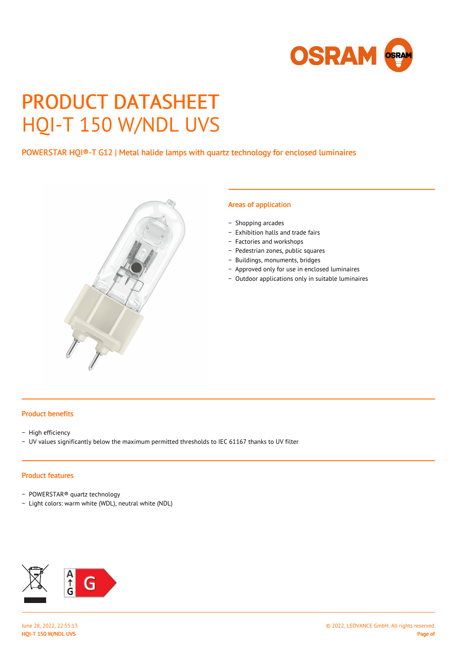

# PRODUCT DATASHEET HQI-T 150 W/NDL UVS

# POWERSTAR HQI®-T G12 | Metal halide lamps with quartz technology for enclosed luminaires



#### Areas of application

- − Shopping arcades
- − Exhibition halls and trade fairs
- − Factories and workshops
- − Pedestrian zones, public squares
- − Buildings, monuments, bridges
- − Approved only for use in enclosed luminaires
- − Outdoor applications only in suitable luminaires

#### Product benefits

- − High efficiency
- − UV values significantly below the maximum permitted thresholds to IEC 61167 thanks to UV filter

#### Product features

- − POWERSTAR® quartz technology
- − Light colors: warm white (WDL), neutral white (NDL)

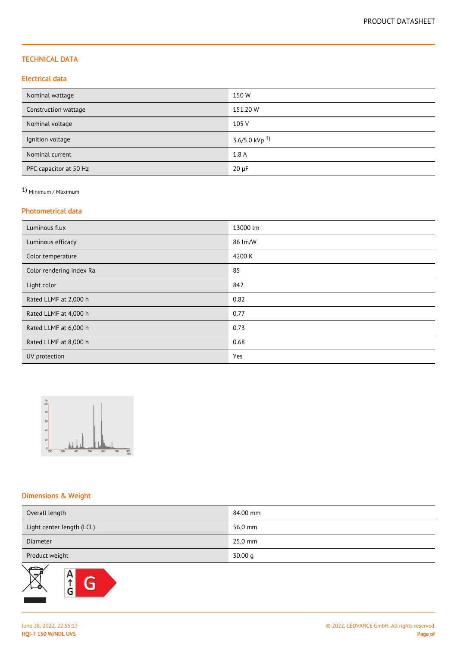#### TECHNICAL DATA

#### Electrical data

| Nominal wattage        | 150 W               |
|------------------------|---------------------|
| Construction wattage   | 151.20 W            |
| Nominal voltage        | 105 V               |
| Ignition voltage       | 3.6/5.0 kVp $^{1)}$ |
| Nominal current        | 1.8A                |
| PFC capacitor at 50 Hz | $20 \mu F$          |

## 1) Minimum / Maximum

#### Photometrical data

| Luminous flux            | 13000 lm |
|--------------------------|----------|
| Luminous efficacy        | 86 lm/W  |
| Color temperature        | 4200 K   |
| Color rendering index Ra | 85       |
| Light color              | 842      |
| Rated LLMF at 2,000 h    | 0.82     |
| Rated LLMF at 4,000 h    | 0.77     |
| Rated LLMF at 6,000 h    | 0.73     |
| Rated LLMF at 8,000 h    | 0.68     |
| UV protection            | Yes      |



# Dimensions & Weight

| Overall length            | 84.00 mm  |
|---------------------------|-----------|
| Light center length (LCL) | 56,0 mm   |
| <b>Diameter</b>           | $25.0$ mm |
| Product weight            | 30.00 g   |
|                           |           |

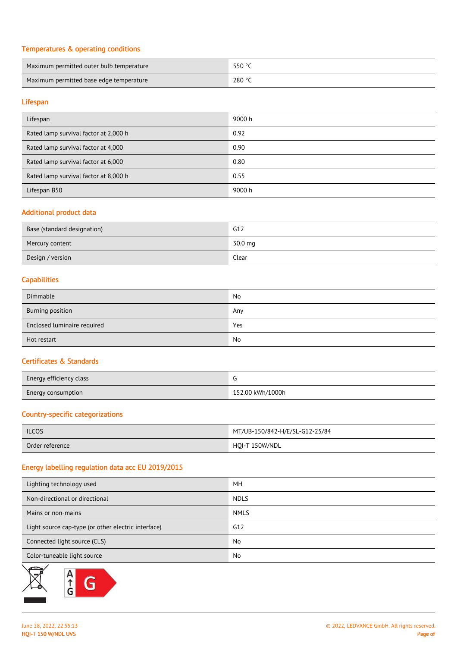#### Temperatures & operating conditions

| Maximum permitted outer bulb temperature | 550 °C |
|------------------------------------------|--------|
| Maximum permitted base edge temperature  | 280 °C |

#### Lifespan

| Lifespan                              | 9000 h |
|---------------------------------------|--------|
| Rated lamp survival factor at 2,000 h | 0.92   |
| Rated lamp survival factor at 4,000   | 0.90   |
| Rated lamp survival factor at 6,000   | 0.80   |
| Rated lamp survival factor at 8,000 h | 0.55   |
| Lifespan B50                          | 9000 h |

#### Additional product data

| Base (standard designation)<br>G12 |         |
|------------------------------------|---------|
| Mercury content                    | 30.0 mg |
| Design / version                   | Clear   |

#### **Capabilities**

| Dimmable                    | No  |
|-----------------------------|-----|
| <b>Burning position</b>     | Any |
| Enclosed luminaire required | Yes |
| Hot restart                 | No  |

## Certificates & Standards

| Energy efficiency class   |                  |
|---------------------------|------------------|
| <b>Energy consumption</b> | 152.00 kWh/1000h |

#### Country-specific categorizations

| <b>ILCOS</b>    | MT/UB-150/842-H/E/SL-G12-25/84 |
|-----------------|--------------------------------|
| Order reference | 150W/NDL                       |

### Energy labelling regulation data acc EU 2019/2015

| Lighting technology used                            | MH          |
|-----------------------------------------------------|-------------|
| Non-directional or directional                      | <b>NDLS</b> |
| Mains or non-mains                                  | <b>NMLS</b> |
| Light source cap-type (or other electric interface) | G12         |
| Connected light source (CLS)                        | No          |
| Color-tuneable light source                         | No          |

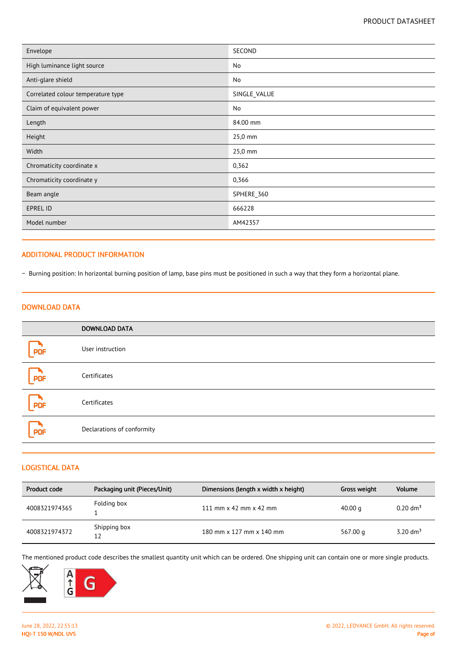| Envelope                           | SECOND       |
|------------------------------------|--------------|
| High luminance light source        | No           |
| Anti-glare shield                  | No           |
| Correlated colour temperature type | SINGLE_VALUE |
| Claim of equivalent power          | No           |
| Length                             | 84.00 mm     |
| Height                             | 25,0 mm      |
| Width                              | 25,0 mm      |
| Chromaticity coordinate x          | 0,362        |
| Chromaticity coordinate y          | 0,366        |
| Beam angle                         | SPHERE_360   |
| EPREL ID                           | 666228       |
| Model number                       | AM42357      |

#### ADDITIONAL PRODUCT INFORMATION

− Burning position: In horizontal burning position of lamp, base pins must be positioned in such a way that they form a horizontal plane.

#### DOWNLOAD DATA

|            | DOWNLOAD DATA              |
|------------|----------------------------|
| <b>PDF</b> | User instruction           |
| <b>PDF</b> | Certificates               |
| <b>PDF</b> | Certificates               |
| <b>PDF</b> | Declarations of conformity |

#### LOGISTICAL DATA

| Product code  | Packaging unit (Pieces/Unit) | Dimensions (length x width x height) | Gross weight | Volume              |
|---------------|------------------------------|--------------------------------------|--------------|---------------------|
| 4008321974365 | Folding box                  | 111 mm $\times$ 42 mm $\times$ 42 mm | 40.00 $q$    | $0.20 \text{ dm}^3$ |
| 4008321974372 | Shipping box                 | 180 mm x 127 mm x 140 mm             | 567.00 g     | $3.20 \text{ dm}^3$ |

The mentioned product code describes the smallest quantity unit which can be ordered. One shipping unit can contain one or more single products.